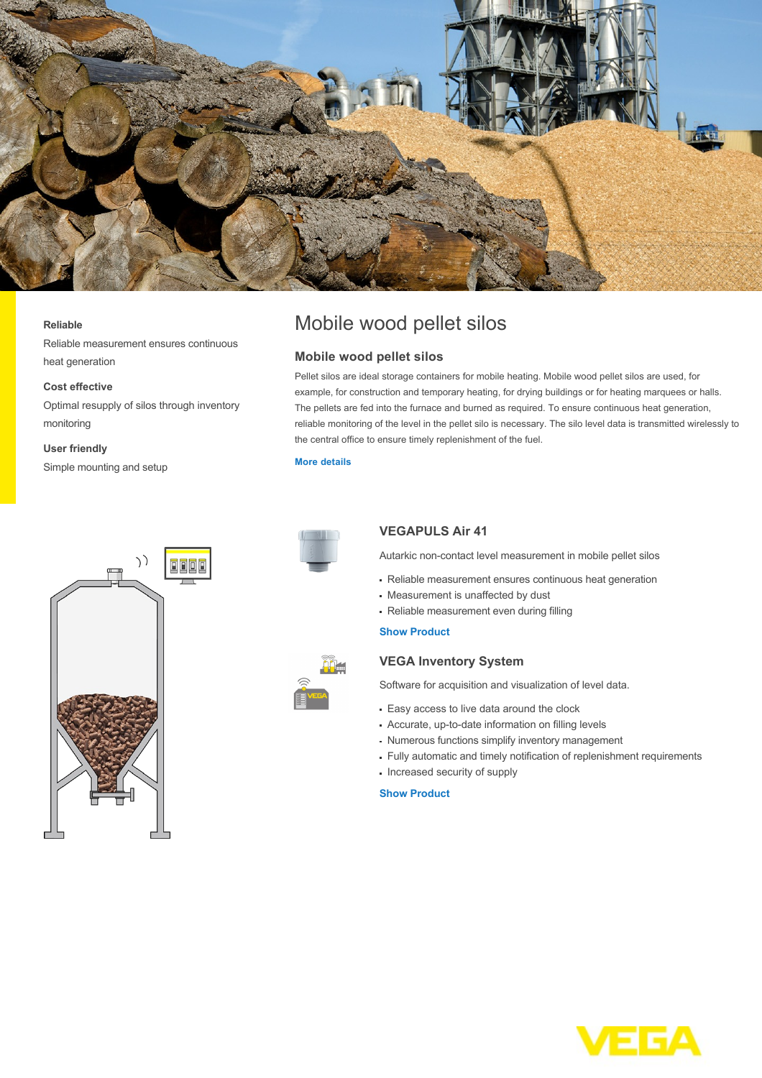

#### **Reliable**

Reliable measurement ensures continuous heat generation

## **Cost effective**

Optimal resupply of silos through inventory monitoring

#### **User friendly**

Simple mounting and setup





# **Mobile wood pellet silos**

Pellet silos are ideal storage containers for mobile heating. Mobile wood pellet silos are used, for example, for construction and temporary heating, for drying buildings or for heating marquees or halls. The pellets are fed into the furnace and burned as required. To ensure continuous heat generation, reliable monitoring of the level in the pellet silo is necessary. The silo level data is transmitted wirelessly to the central office to ensure timely replenishment of the fuel.

## **[More details](http://localhost/en-us/industries/energy/wood/mobile-wood-pellet-silos)**



# **VEGAPULS Air 41**

Autarkic non-contact level measurement in mobile pellet silos

- Reliable measurement ensures continuous heat generation
- Measurement is unaffected by dust
- Reliable measurement even during filling

## **[Show Product](http://localhost/en-us/products/product-catalog/level/radar/vegapuls-air-41)**

# **VEGA Inventory System**

Software for acquisition and visualization of level data.

- Easy access to live data around the clock
- Accurate, up-to-date information on filling levels
- Numerous functions simplify inventory management
- Fully automatic and timely notification of replenishment requirements
- Increased security of supply

#### **[Show Product](http://localhost/en-us/products/product-catalog/signal-conditioning/software/vega-inventory-system---vega-hosting)**